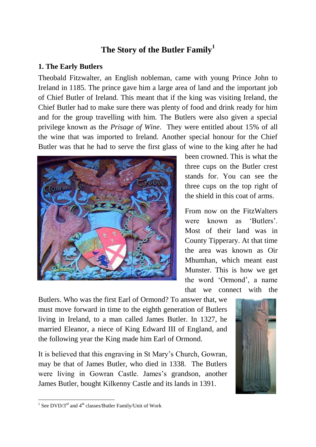# **The Story of the Butler Family<sup>1</sup>**

#### **1. The Early Butlers**

Theobald Fitzwalter, an English nobleman, came with young Prince John to Ireland in 1185. The prince gave him a large area of land and the important job of Chief Butler of Ireland. This meant that if the king was visiting Ireland, the Chief Butler had to make sure there was plenty of food and drink ready for him and for the group travelling with him. The Butlers were also given a special privilege known as the *Prisage of Wine*. They were entitled about 15% of all the wine that was imported to Ireland. Another special honour for the Chief Butler was that he had to serve the first glass of wine to the king after he had



been crowned. This is what the three cups on the Butler crest stands for. You can see the three cups on the top right of the shield in this coat of arms.

From now on the FitzWalters were known as 'Butlers'. Most of their land was in County Tipperary. At that time the area was known as Oir Mhumhan, which meant east Munster. This is how we get the word "Ormond", a name that we connect with the

Butlers. Who was the first Earl of Ormond? To answer that, we must move forward in time to the eighth generation of Butlers living in Ireland, to a man called James Butler. In 1327, he married Eleanor, a niece of King Edward III of England, and the following year the King made him Earl of Ormond.

It is believed that this engraving in St Mary"s Church, Gowran, may be that of James Butler, who died in 1338. The Butlers were living in Gowran Castle. James's grandson, another James Butler, bought Kilkenny Castle and its lands in 1391.



 $\frac{1}{1}$  See DVD/3<sup>rd</sup> and 4<sup>th</sup> classes/Butler Family/Unit of Work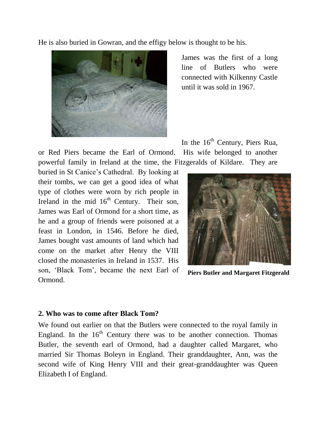He is also buried in Gowran, and the effigy below is thought to be his.



James was the first of a long line of Butlers who were connected with Kilkenny Castle until it was sold in 1967.

In the  $16<sup>th</sup>$  Century, Piers Rua,

or Red Piers became the Earl of Ormond. His wife belonged to another powerful family in Ireland at the time, the Fitzgeralds of Kildare. They are

buried in St Canice"s Cathedral. By looking at their tombs, we can get a good idea of what type of clothes were worn by rich people in Ireland in the mid  $16<sup>th</sup>$  Century. Their son, James was Earl of Ormond for a short time, as he and a group of friends were poisoned at a feast in London, in 1546. Before he died, James bought vast amounts of land which had come on the market after Henry the VIII closed the monasteries in Ireland in 1537. His son, "Black Tom", became the next Earl of Ormond.



**Piers Butler and Margaret Fitzgerald**

#### **2. Who was to come after Black Tom?**

We found out earlier on that the Butlers were connected to the royal family in England. In the  $16<sup>th</sup>$  Century there was to be another connection. Thomas Butler, the seventh earl of Ormond, had a daughter called Margaret, who married Sir Thomas Boleyn in England. Their granddaughter, Ann, was the second wife of King Henry VIII and their great-granddaughter was Queen Elizabeth I of England.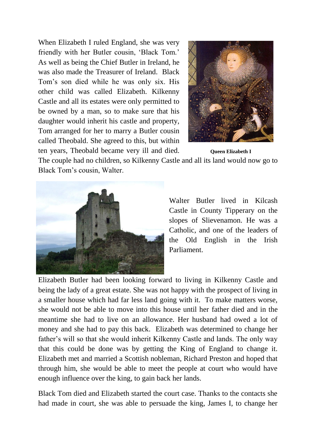When Elizabeth I ruled England, she was very friendly with her Butler cousin, "Black Tom." As well as being the Chief Butler in Ireland, he was also made the Treasurer of Ireland. Black Tom"s son died while he was only six. His other child was called Elizabeth. Kilkenny Castle and all its estates were only permitted to be owned by a man, so to make sure that his daughter would inherit his castle and property, Tom arranged for her to marry a Butler cousin called Theobald. She agreed to this, but within ten years, Theobald became very ill and died.



**Queen Elizabeth I**

The couple had no children, so Kilkenny Castle and all its land would now go to Black Tom"s cousin, Walter.



Walter Butler lived in Kilcash Castle in County Tipperary on the slopes of Slievenamon. He was a Catholic, and one of the leaders of the Old English in the Irish Parliament.

Elizabeth Butler had been looking forward to living in Kilkenny Castle and being the lady of a great estate. She was not happy with the prospect of living in a smaller house which had far less land going with it. To make matters worse, she would not be able to move into this house until her father died and in the meantime she had to live on an allowance. Her husband had owed a lot of money and she had to pay this back. Elizabeth was determined to change her father's will so that she would inherit Kilkenny Castle and lands. The only way that this could be done was by getting the King of England to change it. Elizabeth met and married a Scottish nobleman, Richard Preston and hoped that through him, she would be able to meet the people at court who would have enough influence over the king, to gain back her lands.

Black Tom died and Elizabeth started the court case. Thanks to the contacts she had made in court, she was able to persuade the king, James I, to change her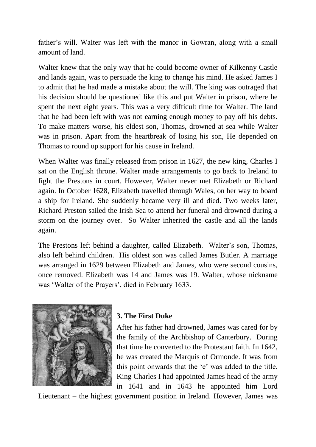father's will. Walter was left with the manor in Gowran, along with a small amount of land.

Walter knew that the only way that he could become owner of Kilkenny Castle and lands again, was to persuade the king to change his mind. He asked James I to admit that he had made a mistake about the will. The king was outraged that his decision should be questioned like this and put Walter in prison, where he spent the next eight years. This was a very difficult time for Walter. The land that he had been left with was not earning enough money to pay off his debts. To make matters worse, his eldest son, Thomas, drowned at sea while Walter was in prison. Apart from the heartbreak of losing his son, He depended on Thomas to round up support for his cause in Ireland.

When Walter was finally released from prison in 1627, the new king, Charles I sat on the English throne. Walter made arrangements to go back to Ireland to fight the Prestons in court. However, Walter never met Elizabeth or Richard again. In October 1628, Elizabeth travelled through Wales, on her way to board a ship for Ireland. She suddenly became very ill and died. Two weeks later, Richard Preston sailed the Irish Sea to attend her funeral and drowned during a storm on the journey over. So Walter inherited the castle and all the lands again.

The Prestons left behind a daughter, called Elizabeth. Walter's son, Thomas, also left behind children. His oldest son was called James Butler. A marriage was arranged in 1629 between Elizabeth and James, who were second cousins, once removed. Elizabeth was 14 and James was 19. Walter, whose nickname was 'Walter of the Prayers', died in February 1633.



## **3. The First Duke**

After his father had drowned, James was cared for by the family of the Archbishop of Canterbury. During that time he converted to the Protestant faith. In 1642, he was created the Marquis of Ormonde. It was from this point onwards that the "e" was added to the title. King Charles I had appointed James head of the army in 1641 and in 1643 he appointed him Lord

Lieutenant – the highest government position in Ireland. However, James was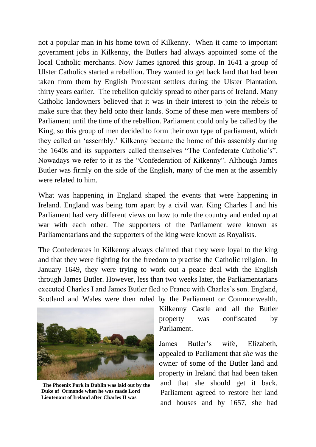not a popular man in his home town of Kilkenny. When it came to important government jobs in Kilkenny, the Butlers had always appointed some of the local Catholic merchants. Now James ignored this group. In 1641 a group of Ulster Catholics started a rebellion. They wanted to get back land that had been taken from them by English Protestant settlers during the Ulster Plantation, thirty years earlier. The rebellion quickly spread to other parts of Ireland. Many Catholic landowners believed that it was in their interest to join the rebels to make sure that they held onto their lands. Some of these men were members of Parliament until the time of the rebellion. Parliament could only be called by the King, so this group of men decided to form their own type of parliament, which they called an "assembly." Kilkenny became the home of this assembly during the 1640s and its supporters called themselves "The Confederate Catholic"s". Nowadays we refer to it as the "Confederation of Kilkenny". Although James Butler was firmly on the side of the English, many of the men at the assembly were related to him.

What was happening in England shaped the events that were happening in Ireland. England was being torn apart by a civil war. King Charles I and his Parliament had very different views on how to rule the country and ended up at war with each other. The supporters of the Parliament were known as Parliamentarians and the supporters of the king were known as Royalists.

The Confederates in Kilkenny always claimed that they were loyal to the king and that they were fighting for the freedom to practise the Catholic religion. In January 1649, they were trying to work out a peace deal with the English through James Butler. However, less than two weeks later, the Parliamentarians executed Charles I and James Butler fled to France with Charles's son. England, Scotland and Wales were then ruled by the Parliament or Commonwealth.



**The Phoenix Park in Dublin was laid out by the Duke of Ormonde when he was made Lord Lieutenant of Ireland after Charles II was** 

Kilkenny Castle and all the Butler property was confiscated by Parliament.

James Butler"s wife, Elizabeth, appealed to Parliament that *she* was the owner of some of the Butler land and property in Ireland that had been taken and that she should get it back. Parliament agreed to restore her land and houses and by 1657, she had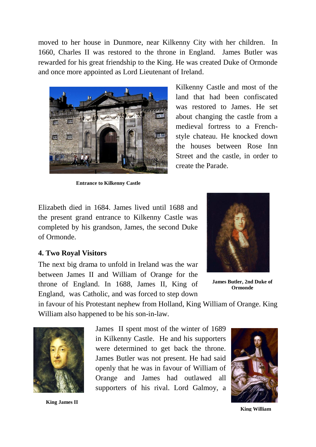moved to her house in Dunmore, near Kilkenny City with her children. In 1660, Charles II was restored to the throne in England. James Butler was rewarded for his great friendship to the King. He was created Duke of Ormonde and once more appointed as Lord Lieutenant of Ireland.



**Entrance to Kilkenny Castle**

Kilkenny Castle and most of the land that had been confiscated was restored to James. He set about changing the castle from a medieval fortress to a Frenchstyle chateau. He knocked down the houses between Rose Inn Street and the castle, in order to create the Parade.

Elizabeth died in 1684. James lived until 1688 and the present grand entrance to Kilkenny Castle was completed by his grandson, James, the second Duke of Ormonde.

#### **4. Two Royal Visitors**

The next big drama to unfold in Ireland was the war between James II and William of Orange for the throne of England. In 1688, James II, King of England, was Catholic, and was forced to step down



**James Butler, 2nd Duke of Ormonde**

 in favour of his Protestant nephew from Holland, King William of Orange. King William also happened to be his son-in-law.



**King James II**

James II spent most of the winter of 1689 in Kilkenny Castle. He and his supporters were determined to get back the throne. James Butler was not present. He had said openly that he was in favour of William of Orange and James had outlawed all supporters of his rival. Lord Galmoy, a



**King William**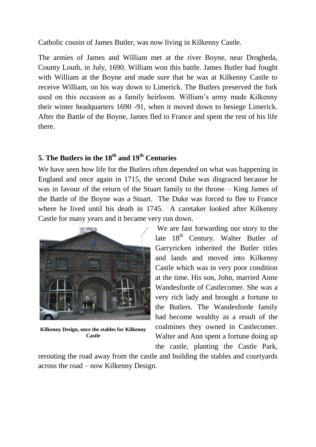Catholic cousin of James Butler, was now living in Kilkenny Castle.

The armies of James and William met at the river Boyne, near Drogheda, County Louth, in July, 1690. William won this battle. James Butler had fought with William at the Boyne and made sure that he was at Kilkenny Castle to receive William, on his way down to Limerick. The Butlers preserved the fork used on this occasion as a family heirloom. William"s army made Kilkenny their winter headquarters 1690 -91, when it moved down to besiege Limerick. After the Battle of the Boyne, James fled to France and spent the rest of his life there.

## **5. The Butlers in the 18th and 19th Centuries**

We have seen how life for the Butlers often depended on what was happening in England and once again in 1715, the second Duke was disgraced because he was in favour of the return of the Stuart family to the throne – King James of the Battle of the Boyne was a Stuart. The Duke was forced to flee to France where he lived until his death in 1745. A caretaker looked after Kilkenny Castle for many years and it became very run down.



**Kilkenny Design, once the stables for Kilkenny Castle**

We are fast forwarding our story to the late  $18<sup>th</sup>$  Century. Walter Butler of Garryricken inherited the Butler titles and lands and moved into Kilkenny Castle which was in very poor condition at the time. His son, John, married Anne Wandesforde of Castlecomer. She was a very rich lady and brought a fortune to the Butlers. The Wandesforde family had become wealthy as a result of the coalmines they owned in Castlecomer. Walter and Ann spent a fortune doing up the castle, planting the Castle Park,

rerouting the road away from the castle and building the stables and courtyards across the road – now Kilkenny Design.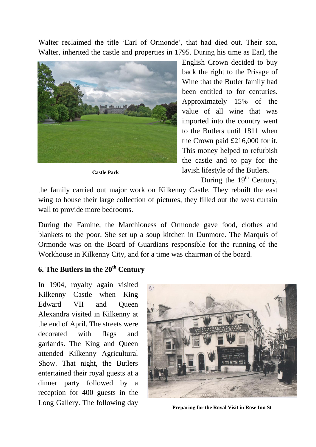Walter reclaimed the title 'Earl of Ormonde', that had died out. Their son, Walter, inherited the castle and properties in 1795. During his time as Earl, the



**Castle Park**

English Crown decided to buy back the right to the Prisage of Wine that the Butler family had been entitled to for centuries. Approximately 15% of the value of all wine that was imported into the country went to the Butlers until 1811 when the Crown paid £216,000 for it. This money helped to refurbish the castle and to pay for the lavish lifestyle of the Butlers.

During the  $19<sup>th</sup>$  Century,

wall to provide more bedrooms. the family carried out major work on Kilkenny Castle. They rebuilt the east wing to house their large collection of pictures, they filled out the west curtain

blankets to the poor. She set up a soup kitchen in Dunmore. The Marquis of During the Famine, the Marchioness of Ormonde gave food, clothes and Ormonde was on the Board of Guardians responsible for the running of the Workhouse in Kilkenny City, and for a time was chairman of the board.

### **6. The Butlers in the 20th Century**

In 1904, royalty again visited Kilkenny Castle when King Edward VII and Queen Alexandra visited in Kilkenny at the end of April. The streets were decorated with flags and garlands. The King and Queen attended Kilkenny Agricultural Show. That night, the Butlers entertained their royal guests at a dinner party followed by a reception for 400 guests in the Long Gallery. The following day



**Preparing for the Royal Visit in Rose Inn St**